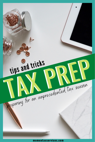

**momentaxservices.com**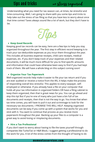# tips and tricks

no stress required

Understanding what you need for tax season can, at times, be stressful and time-consuming. Well, I am going to share with you some tips and tricks to help take out the stress of tax filing so that you have less to worry about once that time comes! Taxes always sound like a lot of work, but they don't have to be.



### **Keep Good Records**

Keeping good tax records can be easy, here are a few tips to help you stay organized throughout the year. The first step in efficient record keeping is to track your tax-deductible expenses as you incur them throughout the year. This includes all business expense receipts, child care receipts, medical expenses, etc. If you don't keep track of your expenses and their related documents, it will be much more difficult for you to find specific amounts and information that could have otherwise been easy to find if you had kept track of them. We will have a whole blog on this subject coming soon!

### **Organize Your Tax Paperwork**

Well-organized records help make it easier to file your tax return and if you are ever audited or receive a notice from the IRS, it helps make the process of responding overall less stressful. This applies to every taxpayer, selfemployed or otherwise. If you already have a file on your computer that holds all your tax information in organized folders OR have a filing cabinet to keep them organized, then that is great news for you. You can go ahead and skip this tip! But if you're one of many who just have a bin full of tax documents and receipts, then that is not the way to go. You know that when tax time comes, you will have to pull it out and scrimmage to look for the necessary tax documents. I PROMISE THIS WILL HELP. Keeping organized documents can be easy if you come up with a system that works for you and stick with it. You want to continue that process as you receive more paperwork throughout the year. Backing up your files to a computer is a great way to avoid losing or misplacing documents.

### **Hire a Tax Professional**

If you don't want to worry about having to file the taxes yourself through companies like TurboTax or H&R Block, I suggest getting a professional to do the work for you. A lot of the stress comes from the thought of having to do

#### **momentaxservices.com**